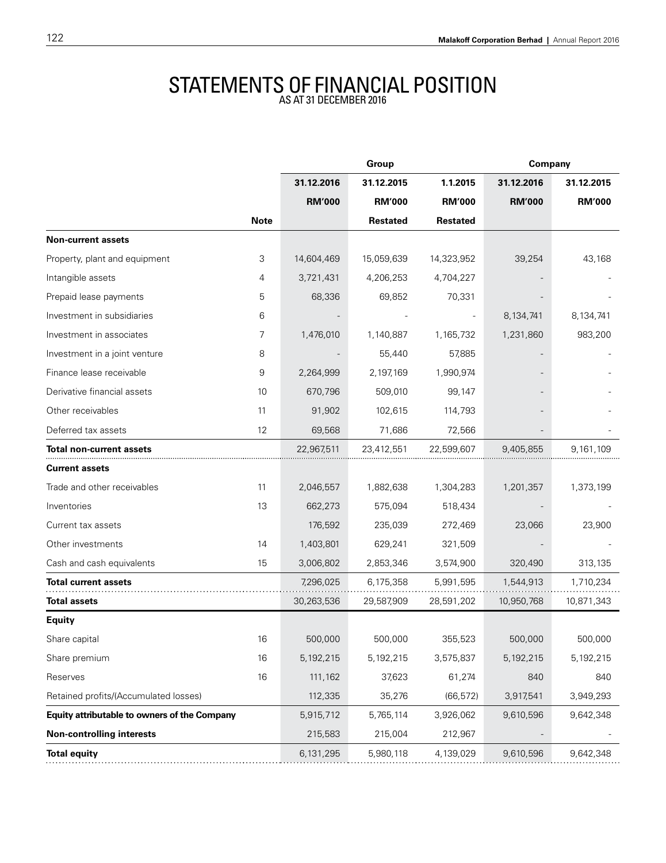## STATEMENTS OF FINANCIAL POSITION

|                                              |             | Group         |                 |                 | Company       |               |
|----------------------------------------------|-------------|---------------|-----------------|-----------------|---------------|---------------|
|                                              |             | 31.12.2016    | 31.12.2015      | 1.1.2015        | 31.12.2016    | 31.12.2015    |
|                                              |             | <b>RM'000</b> | <b>RM'000</b>   | <b>RM'000</b>   | <b>RM'000</b> | <b>RM'000</b> |
|                                              | <b>Note</b> |               | <b>Restated</b> | <b>Restated</b> |               |               |
| <b>Non-current assets</b>                    |             |               |                 |                 |               |               |
| Property, plant and equipment                | 3           | 14,604,469    | 15,059,639      | 14,323,952      | 39,254        | 43,168        |
| Intangible assets                            | 4           | 3,721,431     | 4,206,253       | 4,704,227       |               |               |
| Prepaid lease payments                       | 5           | 68,336        | 69,852          | 70,331          |               |               |
| Investment in subsidiaries                   | 6           |               |                 |                 | 8,134,741     | 8,134,741     |
| Investment in associates                     | 7           | 1,476,010     | 1,140,887       | 1,165,732       | 1,231,860     | 983,200       |
| Investment in a joint venture                | 8           |               | 55,440          | 57,885          |               |               |
| Finance lease receivable                     | 9           | 2,264,999     | 2,197,169       | 1,990,974       |               |               |
| Derivative financial assets                  | 10          | 670,796       | 509,010         | 99,147          |               |               |
| Other receivables                            | 11          | 91,902        | 102,615         | 114,793         |               |               |
| Deferred tax assets                          | 12          | 69,568        | 71,686          | 72,566          |               |               |
| Total non-current assets                     |             | 22,967,511    | 23,412,551      | 22,599,607      | 9,405,855     | 9,161,109     |
| <b>Current assets</b>                        |             |               |                 |                 |               |               |
| Trade and other receivables                  | 11          | 2,046,557     | 1,882,638       | 1,304,283       | 1,201,357     | 1,373,199     |
| Inventories                                  | 13          | 662,273       | 575,094         | 518,434         |               |               |
| Current tax assets                           |             | 176,592       | 235,039         | 272,469         | 23,066        | 23,900        |
| Other investments                            | 14          | 1,403,801     | 629,241         | 321,509         |               |               |
| Cash and cash equivalents                    | 15          | 3,006,802     | 2,853,346       | 3,574,900       | 320,490       | 313,135       |
| Total current assets                         |             | 7,296,025     | 6,175,358       | 5,991,595       | 1,544,913     | 1,710,234     |
| <b>Total assets</b>                          |             | 30,263,536    | 29,587,909      | 28,591,202      | 10,950,768    | 10,871,343    |
| <b>Equity</b>                                |             |               |                 |                 |               |               |
| Share capital                                | 16          | 500,000       | 500,000         | 355,523         | 500,000       | 500,000       |
| Share premium                                | 16          | 5,192,215     | 5,192,215       | 3,575,837       | 5,192,215     | 5,192,215     |
| Reserves                                     | 16          | 111,162       | 37,623          | 61,274          | 840           | 840           |
| Retained profits/(Accumulated losses)        |             | 112,335       | 35,276          | (66, 572)       | 3,917,541     | 3,949,293     |
| Equity attributable to owners of the Company |             | 5,915,712     | 5,765,114       | 3,926,062       | 9,610,596     | 9,642,348     |
| <b>Non-controlling interests</b>             |             | 215,583       | 215,004         | 212,967         |               |               |
| <b>Total equity</b>                          |             | 6,131,295     | 5,980,118       | 4,139,029       | 9,610,596     | 9,642,348     |